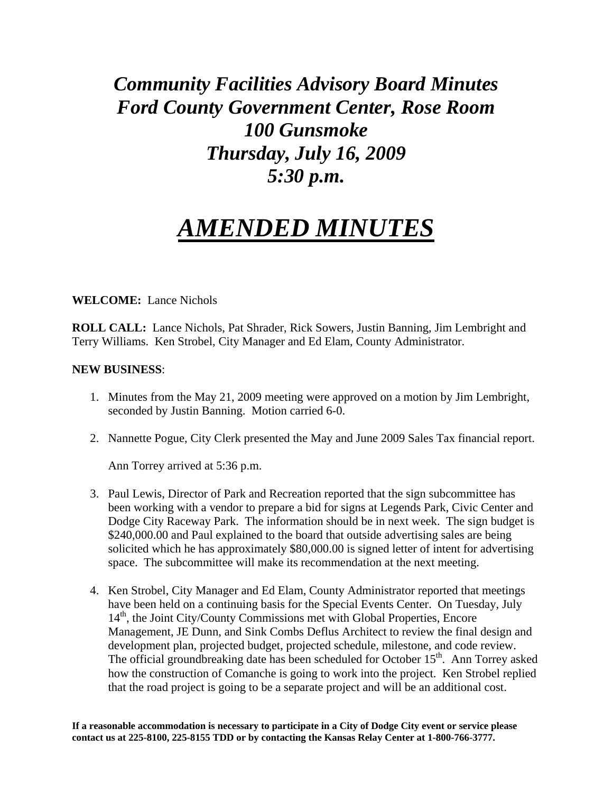## *Community Facilities Advisory Board Minutes Ford County Government Center, Rose Room 100 Gunsmoke Thursday, July 16, 2009 5:30 p.m.*

## *AMENDED MINUTES*

**WELCOME:** Lance Nichols

**ROLL CALL:** Lance Nichols, Pat Shrader, Rick Sowers, Justin Banning, Jim Lembright and Terry Williams. Ken Strobel, City Manager and Ed Elam, County Administrator.

## **NEW BUSINESS**:

- 1. Minutes from the May 21, 2009 meeting were approved on a motion by Jim Lembright, seconded by Justin Banning. Motion carried 6-0.
- 2. Nannette Pogue, City Clerk presented the May and June 2009 Sales Tax financial report.

Ann Torrey arrived at 5:36 p.m.

- 3. Paul Lewis, Director of Park and Recreation reported that the sign subcommittee has been working with a vendor to prepare a bid for signs at Legends Park, Civic Center and Dodge City Raceway Park. The information should be in next week. The sign budget is \$240,000.00 and Paul explained to the board that outside advertising sales are being solicited which he has approximately \$80,000.00 is signed letter of intent for advertising space. The subcommittee will make its recommendation at the next meeting.
- 4. Ken Strobel, City Manager and Ed Elam, County Administrator reported that meetings have been held on a continuing basis for the Special Events Center. On Tuesday, July 14<sup>th</sup>, the Joint City/County Commissions met with Global Properties, Encore Management, JE Dunn, and Sink Combs Deflus Architect to review the final design and development plan, projected budget, projected schedule, milestone, and code review. The official groundbreaking date has been scheduled for October 15<sup>th</sup>. Ann Torrey asked how the construction of Comanche is going to work into the project. Ken Strobel replied that the road project is going to be a separate project and will be an additional cost.